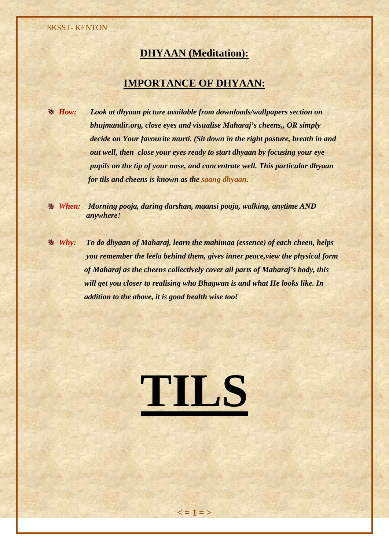# **DHYAAN (Meditation):**

# **IMPORTANCE OF DHYAAN:**

*How: Look at dhyaan picture available from downloads/wallpapers section on bhujmandir.org, close eyes and visualise Maharaj's cheens,, OR simply decide on Your favourite murti. (Sit down in the right posture, breath in and out well, then close your eyes ready to start dhyaan by focusing your eye pupils on the tip of your nose, and concentrate well. This particular dhyaan for tils and cheens is known as the saang dhyaan.*

*When: Morning pooja, during darshan, maansi pooja, walking, anytime AND anywhere!*

*Why: To do dhyaan of Maharaj, learn the mahimaa (essence) of each cheen, helps you remember the leela behind them, gives inner peace,view the physical form of Maharaj as the cheens collectively cover all parts of Maharaj's body, this will get you closer to realising who Bhagwan is and what He looks like. In addition to the above, it is good health wise too!*



 $\leq$  = 1 = >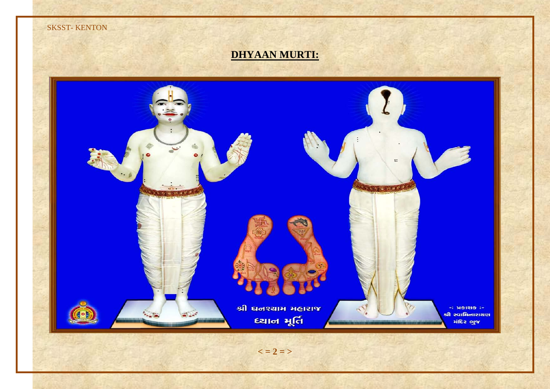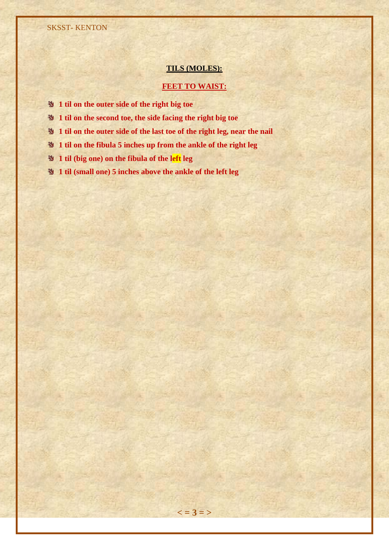# **TILS (MOLES):**

## **FEET TO WAIST:**

**< = 3 = >**

- **1 til on the outer side of the right big toe**
- **1 til on the second toe, the side facing the right big toe**
- **1 til on the outer side of the last toe of the right leg, near the nail**
- **1 til on the fibula 5 inches up from the ankle of the right leg**
- **1 til (big one) on the fibula of the left leg**
- **1 til (small one) 5 inches above the ankle of the left leg**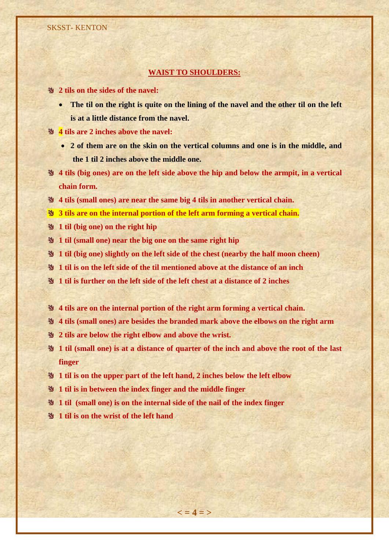## **WAIST TO SHOULDERS:**

## **2 tils on the sides of the navel:**

- **The til on the right is quite on the lining of the navel and the other til on the left is at a little distance from the navel.**
- **4 tils are 2 inches above the navel:**
	- **2 of them are on the skin on the vertical columns and one is in the middle, and the 1 til 2 inches above the middle one.**
- **4 tils (big ones) are on the left side above the hip and below the armpit, in a vertical chain form.**
- **4 tils (small ones) are near the same big 4 tils in another vertical chain.**
- **3 tils are on the internal portion of the left arm forming a vertical chain.**
- **2 1 til** (big one) on the right hip
- **1 til (small one) near the big one on the same right hip**
- **1 til (big one) slightly on the left side of the chest (nearby the half moon cheen)**
- **1 til is on the left side of the til mentioned above at the distance of an inch**
- **1 til is further on the left side of the left chest at a distance of 2 inches**
- **4 tils are on the internal portion of the right arm forming a vertical chain.**
- **4 tils (small ones) are besides the branded mark above the elbows on the right arm**
- **2 tils are below the right elbow and above the wrist.**
- **1 til (small one) is at a distance of quarter of the inch and above the root of the last finger**

 $\leq$  = 4 = >

- **1 til is on the upper part of the left hand, 2 inches below the left elbow**
- **1 til is in between the index finger and the middle finger**
- **1 til (small one) is on the internal side of the nail of the index finger**
- **1 1** til is on the wrist of the left hand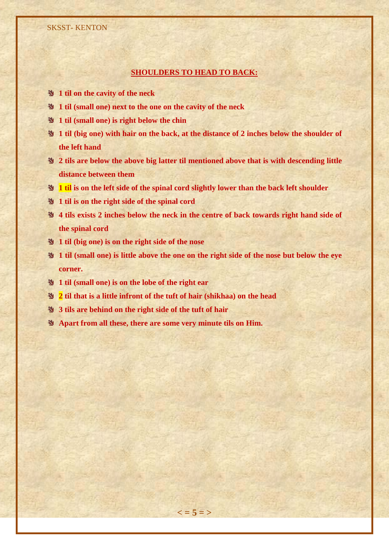#### SKSST- KENTON

## **SHOULDERS TO HEAD TO BACK:**

- **1 til on the cavity of the neck**
- **1 til (small one) next to the one on the cavity of the neck**
- **1 til (small one) is right below the chin**
- **1 til (big one) with hair on the back, at the distance of 2 inches below the shoulder of the left hand**
- **2 tils are below the above big latter til mentioned above that is with descending little distance between them**
- **1 til is on the left side of the spinal cord slightly lower than the back left shoulder**
- **1 til is on the right side of the spinal cord**
- **4 tils exists 2 inches below the neck in the centre of back towards right hand side of the spinal cord**
- **2 1** til (big one) is on the right side of the nose
- **1 til (small one) is little above the one on the right side of the nose but below the eye corner.**

 $\leq$  = 5 = >

- **1 til (small one) is on the lobe of the right ear**
- **2 til that is a little infront of the tuft of hair (shikhaa) on the head**
- **3 tils are behind on the right side of the tuft of hair**
- **Apart from all these, there are some very minute tils on Him.**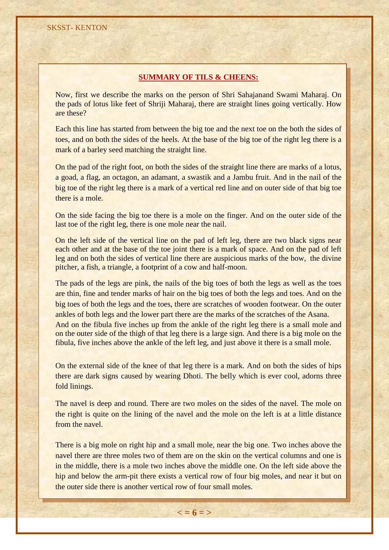## **SUMMARY OF TILS & CHEENS:**

Now, first we describe the marks on the person of Shri Sahajanand Swami Maharaj. On the pads of lotus like feet of Shriji Maharaj, there are straight lines going vertically. How are these?

Each this line has started from between the big toe and the next toe on the both the sides of toes, and on both the sides of the heels. At the base of the big toe of the right leg there is a mark of a barley seed matching the straight line.

On the pad of the right foot, on both the sides of the straight line there are marks of a lotus, a goad, a flag, an octagon, an adamant, a swastik and a Jambu fruit. And in the nail of the big toe of the right leg there is a mark of a vertical red line and on outer side of that big toe there is a mole.

On the side facing the big toe there is a mole on the finger. And on the outer side of the last toe of the right leg, there is one mole near the nail.

On the left side of the vertical line on the pad of left leg, there are two black signs near each other and at the base of the toe joint there is a mark of space. And on the pad of left leg and on both the sides of vertical line there are auspicious marks of the bow, the divine pitcher, a fish, a triangle, a footprint of a cow and half-moon.

The pads of the legs are pink, the nails of the big toes of both the legs as well as the toes are thin, fine and tender marks of hair on the big toes of both the legs and toes. And on the big toes of both the legs and the toes, there are scratches of wooden footwear. On the outer ankles of both legs and the lower part there are the marks of the scratches of the Asana. And on the fibula five inches up from the ankle of the right leg there is a small mole and on the outer side of the thigh of that leg there is a large sign. And there is a big mole on the fibula, five inches above the ankle of the left leg, and just above it there is a small mole.

On the external side of the knee of that leg there is a mark. And on both the sides of hips there are dark signs caused by wearing Dhoti. The belly which is ever cool, adorns three fold linings.

The navel is deep and round. There are two moles on the sides of the navel. The mole on the right is quite on the lining of the navel and the mole on the left is at a little distance from the navel.

There is a big mole on right hip and a small mole, near the big one. Two inches above the navel there are three moles two of them are on the skin on the vertical columns and one is in the middle, there is a mole two inches above the middle one. On the left side above the hip and below the arm-pit there exists a vertical row of four big moles, and near it but on the outer side there is another vertical row of four small moles.

 $\leq$  = 6 = >